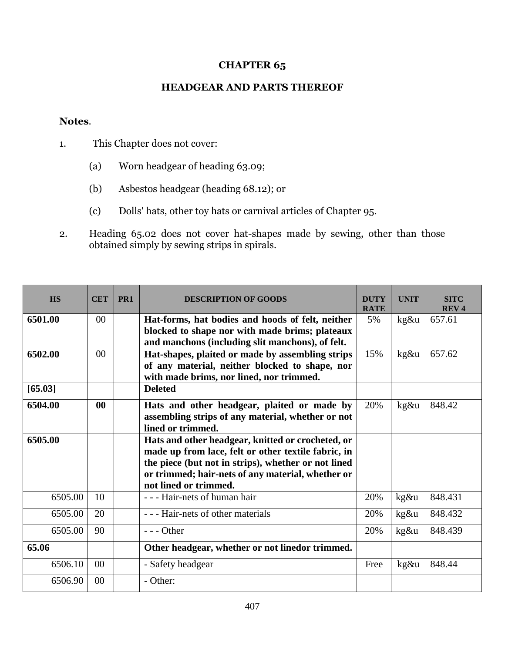## **CHAPTER 65**

## **HEADGEAR AND PARTS THEREOF**

## **Notes**.

- 1. This Chapter does not cover:
	- (a) Worn headgear of heading 63.09;
	- (b) Asbestos headgear (heading 68.12); or
	- (c) Dolls' hats, other toy hats or carnival articles of Chapter 95.
- 2. Heading 65.02 does not cover hat-shapes made by sewing, other than those obtained simply by sewing strips in spirals.

| <b>HS</b> | <b>CET</b>      | PR <sub>1</sub> | <b>DESCRIPTION OF GOODS</b>                                                                                                                                                                                                                   | <b>DUTY</b><br><b>RATE</b> | <b>UNIT</b> | <b>SITC</b><br><b>REV4</b> |
|-----------|-----------------|-----------------|-----------------------------------------------------------------------------------------------------------------------------------------------------------------------------------------------------------------------------------------------|----------------------------|-------------|----------------------------|
| 6501.00   | 00 <sup>2</sup> |                 | Hat-forms, hat bodies and hoods of felt, neither                                                                                                                                                                                              | 5%                         | $kg\&u$     | 657.61                     |
|           |                 |                 | blocked to shape nor with made brims; plateaux<br>and manchons (including slit manchons), of felt.                                                                                                                                            |                            |             |                            |
| 6502.00   | 00 <sup>2</sup> |                 | Hat-shapes, plaited or made by assembling strips                                                                                                                                                                                              | 15%                        | kg&u        | 657.62                     |
|           |                 |                 | of any material, neither blocked to shape, nor                                                                                                                                                                                                |                            |             |                            |
|           |                 |                 | with made brims, nor lined, nor trimmed.                                                                                                                                                                                                      |                            |             |                            |
| [65.03]   |                 |                 | <b>Deleted</b>                                                                                                                                                                                                                                |                            |             |                            |
| 6504.00   | 00              |                 | Hats and other headgear, plaited or made by<br>assembling strips of any material, whether or not<br>lined or trimmed.                                                                                                                         | 20%                        | kg&u        | 848.42                     |
| 6505.00   |                 |                 | Hats and other headgear, knitted or crocheted, or<br>made up from lace, felt or other textile fabric, in<br>the piece (but not in strips), whether or not lined<br>or trimmed; hair-nets of any material, whether or<br>not lined or trimmed. |                            |             |                            |
| 6505.00   | 10              |                 | - - - Hair-nets of human hair                                                                                                                                                                                                                 | 20%                        | kg&u        | 848.431                    |
| 6505.00   | 20              |                 | --- Hair-nets of other materials                                                                                                                                                                                                              | 20%                        | kg&u        | 848.432                    |
| 6505.00   | 90              |                 | $--$ Other                                                                                                                                                                                                                                    | 20%                        | kg&u        | 848.439                    |
| 65.06     |                 |                 | Other headgear, whether or not linedor trimmed.                                                                                                                                                                                               |                            |             |                            |
| 6506.10   | 0 <sup>0</sup>  |                 | - Safety headgear                                                                                                                                                                                                                             | Free                       | kg&u        | 848.44                     |
| 6506.90   | $00\,$          |                 | - Other:                                                                                                                                                                                                                                      |                            |             |                            |